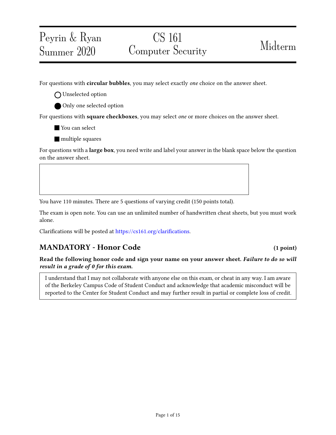# CS 161 Computer Security Midterm

For questions with **circular bubbles**, you may select exactly *one* choice on the answer sheet.

O Unselected option

Peyrin & Ryan

Summer 2020

Only one selected option

For questions with **square checkboxes**, you may select *one* or more choices on the answer sheet.

You can select

**nultiple** squares

For questions with a **large box**, you need write and label your answer in the blank space below the question on the answer sheet.

You have 110 minutes. There are 5 questions of varying credit (150 points total).

The exam is open note. You can use an unlimited number of handwritten cheat sheets, but you must work alone.

Clarifications will be posted at https://cs161.org/clarifications.

## MANDATORY - Honor Code (1 point)

Read the following honor code and sign your name on your answer sheet. Failure to do so will result in a grade of 0 for this exam.

I understand that I may not collaborate with anyone else on this exam, or cheat in any way. I am aware of the Berkeley Campus Code of Student Conduct and acknowledge that academic misconduct will be reported to the Center for Student Conduct and may further result in partial or complete loss of credit.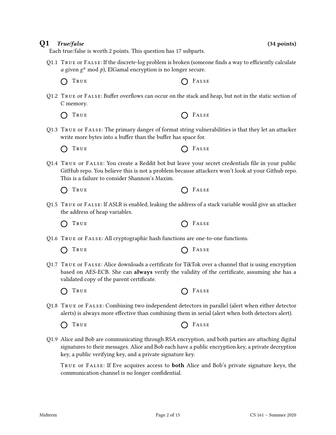### Q1 True/false (34 points)

Each true/false is worth 2 points. This question has 17 subparts.

- Q1.1 TRUE or FALSE: If the discrete-log problem is broken (someone finds a way to efficiently calculate *a* given  $g^a$  mod  $p$ ), ElGamal encryption is no longer secure.
	- $\bigcap$  True  $\bigcap$  False
- Q1.2 TRUE or FALSE: Buffer overflows can occur on the stack and heap, but not in the static section of C memory.
	- $\bigcap$  True  $\bigcap$  False
- Q1.3 True or False: The primary danger of format string vulnerabilities is that they let an attacker write more bytes into a buffer than the buffer has space for.

Q1.4 TRUE OF FALSE: You create a Reddit bot but leave your secret credentials file in your public GitHub repo. You believe this is not a problem because attackers won't look at your Github repo. This is a failure to consider Shannon's Maxim.

|  | O TRUE |  |  |  |
|--|--------|--|--|--|
|--|--------|--|--|--|

Q1.5 True or False: If ASLR is enabled, leaking the address of a stack variable would give an attacker the address of heap variables.

TRUE **CONSTRUE**  $\bigcap$ 

- Q1.6 True or False: All cryptographic hash functions are one-to-one functions.
	- $\bigcap$  True  $\bigcap$  False
- Q1.7 TRUE or FALSE: Alice downloads a certificate for TikTok over a channel that is using encryption based on AES-ECB. She can always verify the validity of the certificate, assuming she has a validated copy of the parent certificate.
	- $\bigcap$  True  $\bigcap$  False
- Q1.8 True or False: Combining two independent detectors in parallel (alert when either detector alerts) is always more effective than combining them in serial (alert when both detectors alert).

 $\bigcap$  True  $\bigcap$  False

- 
- Q1.9 Alice and Bob are communicating through RSA encryption, and both parties are attaching digital signatures to their messages. Alice and Bob each have a public encryption key, a private decryption key, a public verifying key, and a private signature key.

TRUE OF FALSE: If Eve acquires access to **both** Alice and Bob's private signature keys, the communication channel is no longer confidential.

 $O$  FALSE

 $\bigcap$  True  $\bigcap$  False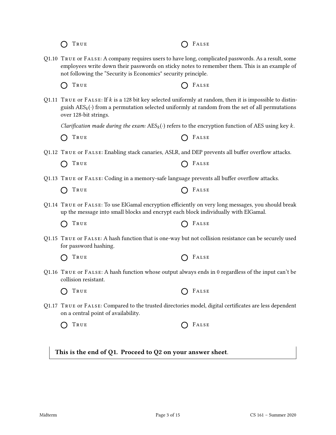| TRUE                                                                                                                                                                                                                                                                  | FALSE |
|-----------------------------------------------------------------------------------------------------------------------------------------------------------------------------------------------------------------------------------------------------------------------|-------|
| Q1.10 TRUE or FALSE: A company requires users to have long, complicated passwords. As a result, some<br>employees write down their passwords on sticky notes to remember them. This is an example of<br>not following the "Security is Economics" security principle. |       |
| TRUE                                                                                                                                                                                                                                                                  | FALSE |
| Q1.11 TRUE or FALSE: If $k$ is a 128 bit key selected uniformly at random, then it is impossible to distin-<br>guish $\text{AES}_k(\cdot)$ from a permutation selected uniformly at random from the set of all permutations<br>over 128-bit strings.                  |       |
| Clarification made during the exam: $\text{AES}_k(\cdot)$ refers to the encryption function of AES using key k.                                                                                                                                                       |       |
| TRUE                                                                                                                                                                                                                                                                  | FALSE |
| Q1.12 TRUE or FALSE: Enabling stack canaries, ASLR, and DEP prevents all buffer overflow attacks.                                                                                                                                                                     |       |
| TRUE                                                                                                                                                                                                                                                                  | FALSE |
| Q1.13 TRUE OF FALSE: Coding in a memory-safe language prevents all buffer overflow attacks.                                                                                                                                                                           |       |
| TRUE                                                                                                                                                                                                                                                                  | FALSE |
| Q1.14 TRUE or FALSE: To use ElGamal encryption efficiently on very long messages, you should break<br>up the message into small blocks and encrypt each block individually with ElGamal.                                                                              |       |
| TRUE                                                                                                                                                                                                                                                                  | FALSE |
| Q1.15 TRUE or FALSE: A hash function that is one-way but not collision resistance can be securely used<br>for password hashing.                                                                                                                                       |       |
| TRUE                                                                                                                                                                                                                                                                  | FALSE |
| Q1.16 TRUE or FALSE: A hash function whose output always ends in 0 regardless of the input can't be<br>collision resistant.                                                                                                                                           |       |
| TRUE                                                                                                                                                                                                                                                                  | FALSE |
| Q1.17 TRUE or FALSE: Compared to the trusted directories model, digital certificates are less dependent<br>on a central point of availability.                                                                                                                        |       |
| TRUE                                                                                                                                                                                                                                                                  | FALSE |
|                                                                                                                                                                                                                                                                       |       |
| This is the end of Q1. Proceed to Q2 on your answer sheet.                                                                                                                                                                                                            |       |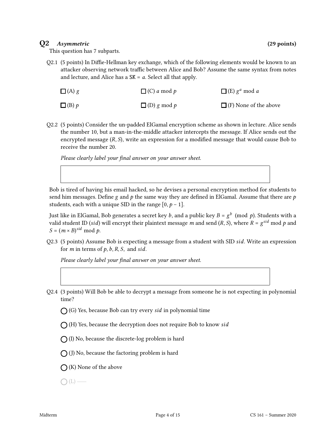### Q2 Asymmetric (29 points)

This question has 7 subparts.

Q2.1 (5 points) In Diffie-Hellman key exchange, which of the following elements would be known to an attacker observing network traffic between Alice and Bob? Assume the same syntax from notes and lecture, and Alice has a  $SK = a$ . Select all that apply.

| $\Box$ (A) g   | $\Box$ (C) a mod p | $\Box$ (E) $g^a$ mod a       |
|----------------|--------------------|------------------------------|
| $\Box$ (B) $p$ | $\Box$ (D) g mod p | $\Box$ (F) None of the above |

Q2.2 (5 points) Consider the un-padded ElGamal encryption scheme as shown in lecture. Alice sends the number 10, but a man-in-the-middle attacker intercepts the message. If Alice sends out the encrypted message  $(R, S)$ , write an expression for a modified message that would cause Bob to receive the number 20.

Please clearly label your final answer on your answer sheet.

Bob is tired of having his email hacked, so he devises a personal encryption method for students to send him messages. Define  $g$  and  $p$  the same way they are defined in ElGamal. Assume that there are  $p$ students, each with a unique SID in the range  $[0, p - 1]$ .

Just like in ElGamal, Bob generates a secret key  $b$ , and a public key  $B = g^{\overline{b}} \pmod{p}.$  Students with a valid student ID (sid) will encrypt their plaintext message m and send (R, S), where  $R = g^{sid} \mod p$  and  $S = (m \times B)^{sid} \mod p$ .

Q2.3 (5 points) Assume Bob is expecting a message from a student with SID  $sid$ . Write an expression for *m* in terms of  $p$ ,  $b$ ,  $R$ ,  $S$ , and sid.

Please clearly label your final answer on your answer sheet.

- Q2.4 (3 points) Will Bob be able to decrypt a message from someone he is not expecting in polynomial time?
	- $\bigcap$  (G) Yes, because Bob can try every sid in polynomial time
	- $\bigcap$  (H) Yes, because the decryption does not require Bob to know sid
	- $\bigcap$  (I) No, because the discrete-log problem is hard
	- $\bigcap$  (J) No, because the factoring problem is hard
	- $\bigcap$  (K) None of the above

 $\bigcap(L)$  —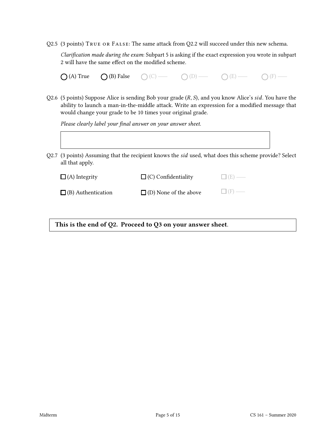Q2.5 (3 points) True or False: The same attack from Q2.2 will succeed under this new schema.

Clarification made during the exam: Subpart 5 is asking if the exact expression you wrote in subpart 2 will have the same effect on the modified scheme.

| $O(A)$ True | $\bigcirc$ (B) False | $\bigcirc$ (C) — | $O(D)$ - | $O(E)$ — | $\bigcirc$ (F) - |
|-------------|----------------------|------------------|----------|----------|------------------|
|-------------|----------------------|------------------|----------|----------|------------------|

Q2.6 (5 points) Suppose Alice is sending Bob your grade  $(R, S)$ , and you know Alice's sid. You have the ability to launch a man-in-the-middle attack. Write an expression for a modified message that would change your grade to be 10 times your original grade.

Please clearly label your final answer on your answer sheet.

- Q2.7 (3 points) Assuming that the recipient knows the sid used, what does this scheme provide? Select
- all that apply.

| $\Box$ (A) Integrity      | $\Box$ (C) Confidentiality   | $\Box$ (E) — |
|---------------------------|------------------------------|--------------|
| $\Box$ (B) Authentication | $\Box$ (D) None of the above | $\Box$ (F) — |

This is the end of Q2. Proceed to Q3 on your answer sheet.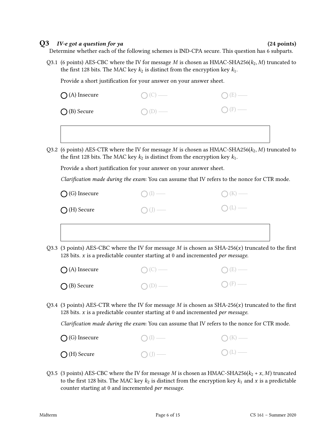### $Q3$  *IV-e got a question for ya*  $(24 \text{ points})$

Determine whether each of the following schemes is IND-CPA secure. This question has 6 subparts.

Q3.1 (6 points) AES-CBC where the IV for message M is chosen as HMAC-SHA256( $k_2$ , M) truncated to the first 128 bits. The MAC key  $k_2$  is distinct from the encryption key  $k_1$ .

Provide a short justification for your answer on your answer sheet.

| $\bigcirc$ (A) Insecure | $\bigcap (C)$ — | $\bigcirc$ (E) — |
|-------------------------|-----------------|------------------|
| $\bigcirc$ (B) Secure   | $O(D)$ —        | $\bigcirc$ (F) — |
|                         |                 |                  |

Q3.2 (6 points) AES-CTR where the IV for message M is chosen as HMAC-SHA256( $k_2$ , M) truncated to the first 128 bits. The MAC key  $k_2$  is distinct from the encryption key  $k_1$ .

Provide a short justification for your answer on your answer sheet.

Clarification made during the exam: You can assume that IV refers to the nonce for CTR mode.

| $\bigcirc$ (G) Insecure | $\bigcirc$ (I) — | $(\ )$ (K) — |
|-------------------------|------------------|--------------|
| $\bigcirc$ (H) Secure   | $O(J)$ —         | $O(L)$ —     |
|                         |                  |              |

Q3.3 (3 points) AES-CBC where the IV for message  $M$  is chosen as SHA-256( $x$ ) truncated to the first 128 bits.  $x$  is a predictable counter starting at 0 and incremented *per message*.

| $\bigcirc$ (A) Insecure | $\bigcap (C)$ — | $O(E)$ —        |
|-------------------------|-----------------|-----------------|
| $\bigcirc$ (B) Secure   | $O(D)$ —        | $\bigcap$ (F) — |

Q3.4 (3 points) AES-CTR where the IV for message  $M$  is chosen as SHA-256( $x$ ) truncated to the first 128 bits.  $x$  is a predictable counter starting at 0 and incremented per message.

Clarification made during the exam: You can assume that IV refers to the nonce for CTR mode.

| $\bigcirc$ (G) Insecure | $\bigcap (I)$ — | $\bigcap (K)$ — |
|-------------------------|-----------------|-----------------|
| $\bigcirc$ (H) Secure   | $\bigcap (J)$ — | $O(L)$ —        |

Q3.5 (3 points) AES-CBC where the IV for message M is chosen as HMAC-SHA256( $k_2 + x$ , M) truncated to the first 128 bits. The MAC key  $k_2$  is distinct from the encryption key  $k_1$  and x is a predictable counter starting at 0 and incremented per message.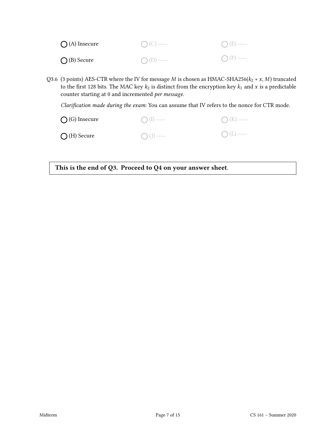| $\bigcap$ (A) Insecure | $O(C)$ — | $O(E)$ —        |
|------------------------|----------|-----------------|
| $\bigcap$ (B) Secure   | $O(D)$ — | $\bigcap$ (F) — |

Q3.6 (3 points) AES-CTR where the IV for message  $M$  is chosen as HMAC-SHA256( $k_2 + x, M$ ) truncated to the first 128 bits. The MAC key  $k_2$  is distinct from the encryption key  $k_1$  and  $x$  is a predictable counter starting at 0 and incremented per message.

Clarification made during the exam: You can assume that IV refers to the nonce for CTR mode.

| $\bigcirc$ (G) Insecure | $\bigcap (I)$ — | $\bigcap (K)$ — |
|-------------------------|-----------------|-----------------|
| $\bigcap$ (H) Secure    | $\bigcap (J)$ — | $O(L)$ —        |

This is the end of Q3. Proceed to Q4 on your answer sheet.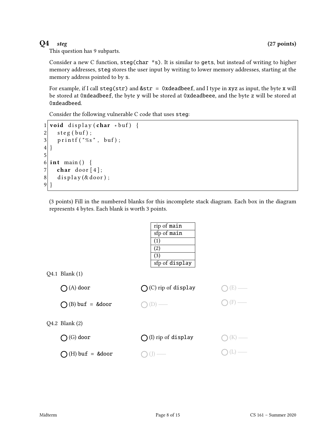This question has 9 subparts.

Consider a new C function, steg(char \*s). It is similar to gets, but instead of writing to higher memory addresses, steg stores the user input by writing to lower memory addresses, starting at the memory address pointed to by s.

For example, if I call  $\text{step}(\text{str})$  and  $\&\text{str} = 0$ xdeadbeef, and I type in xyz as input, the byte x will be stored at 0xdeadbeef, the byte y will be stored at 0xdeadbeee, and the byte z will be stored at 0xdeadbeed.

Consider the following vulnerable C code that uses steg:

```
1 void display (char *buf) {
2 \mid steg (buf);
3 printf ("%s", buf);
4 }
5
6 int main () {
7 char door [4];
8 display (& door);
9 }
```
(3 points) Fill in the numbered blanks for this incomplete stack diagram. Each box in the diagram represents 4 bytes. Each blank is worth 3 points.

|                           | rip of main                  |    |
|---------------------------|------------------------------|----|
|                           | sfp of main                  |    |
|                           | (1)                          |    |
|                           | $\left( 2\right)$            |    |
|                           | (3)                          |    |
|                           | sfp of display               |    |
| Q4.1 Blank (1)            |                              |    |
| $\bigcirc$ (A) door       | $(C)$ rip of display         | E. |
|                           |                              |    |
| $O(B)$ buf = &door        |                              |    |
|                           |                              |    |
| $Q4.2$ Blank $(2)$        |                              |    |
|                           |                              |    |
| $(G)$ door                | $\bigcap$ (I) rip of display |    |
|                           |                              |    |
| $\bigcap$ (H) buf = &door |                              |    |
|                           |                              |    |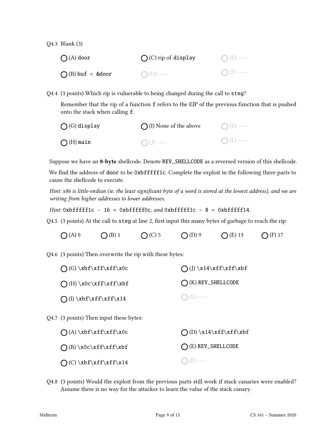Q4.3 Blank (3)

| $\bigcap (A)$ door | $\bigcap$ (C) rip of display | $O(E)$ —        |
|--------------------|------------------------------|-----------------|
| $O(B)$ buf = &door | $O(D)$ —                     | $\bigcap$ (F) — |

Q4.4 (3 points) Which rip is vulnerable to being changed during the call to steg?

Remember that the rip of a function f refers to the EIP of the previous function that is pushed onto the stack when calling f.

| $\bigcap$ (G) display | $\bigcap$ (I) None of the above | $\bigcap (K)$ — |
|-----------------------|---------------------------------|-----------------|
| $\bigcap$ (H) main    | $\bigcap (J)$ —                 | $O(L)$ —        |

Suppose we have an 8-byte shellcode. Denote REV\_SHELLCODE as a reversed version of this shellcode.

We find the address of door to be 0xbfffff1c. Complete the exploit in the following three parts to cause the shellcode to execute.

Hint: x86 is little-endian (ie. the least significant byte of a word is stored at the lowest address), and we are writing from higher addresses to lower addresses.

Hint:  $0$ xbfffff1c - 16 =  $0$ xbfffff0c, and  $0$ xbfffff1c - 8 =  $0$ xbfffff14.

 $Q4.5$  (3 points) At the call to steg at line 2, first input this many bytes of garbage to reach the rip:

(A) 0  $\bigcirc$  (B) 1  $\bigcirc$  (C) 5  $\bigcirc$  (D) 9  $\bigcirc$  (E) 13  $\bigcirc$  (F) 17

Q4.6 (3 points) Then overwrite the rip with these bytes:

| $\bigcap$ (G) \xbf\xff\xff\x0c | $\bigcap (J) \x14\xff\xff\xbf$ |
|--------------------------------|--------------------------------|
| $\bigcap(H)\x0c\xff\xff\xbf$   | $\bigcap$ (K) REV_SHELLCODE    |
| $\bigcap (I) \xbf\xff\xff\x14$ | $\bigcap (L)$                  |

Q4.7 (3 points) Then input these bytes:

| $\bigcap (A) \xbf\xff\xff\xoC$ | $\bigcap$ (D) \x14\xff\xff\xbf |
|--------------------------------|--------------------------------|
| $\bigcap (B) \x0c\xff\xff\xbf$ | $\bigcap$ (E) REV_SHELLCODE    |
| $\bigcap$ (C) \xbf\xff\xff\x14 | $\bigcap$ (F) —                |

Q4.8 (3 points) Would the exploit from the previous parts still work if stack canaries were enabled? Assume there is no way for the attacker to learn the value of the stack canary.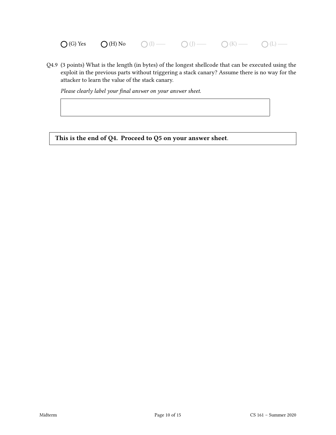$\bigcirc$  (G) Yes  $\bigcirc$  (H) No  $\bigcirc$  (I)  $\longrightarrow$   $\bigcirc$  (J)  $\longrightarrow$   $\bigcirc$  (K)  $\longrightarrow$   $\bigcirc$  (L)  $\longrightarrow$ 

Q4.9 (3 points) What is the length (in bytes) of the longest shellcode that can be executed using the exploit in the previous parts without triggering a stack canary? Assume there is no way for the attacker to learn the value of the stack canary.

Please clearly label your final answer on your answer sheet.

This is the end of Q4. Proceed to Q5 on your answer sheet.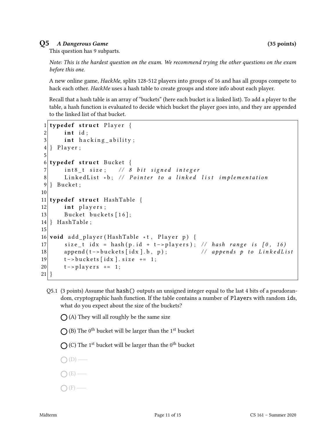### Q5 A Dangerous Game (35 points)

This question has 9 subparts.

Note: This is the hardest question on the exam. We recommend trying the other questions on the exam before this one.

A new online game, *HackMe*, splits 128-512 players into groups of 16 and has all groups compete to hack each other. HackMe uses a hash table to create groups and store info about each player.

Recall that a hash table is an array of "buckets" (here each bucket is a linked list). To add a player to the table, a hash function is evaluated to decide which bucket the player goes into, and they are appended to the linked list of that bucket.

```
1 typedef struct Player {
2 int id;
3 int hacking ability;
4 } Player;
5
6 typedef struct Bucket {
7 int8_t size; // 8 bit signed integer
8 Linked List *b; // Pointer to a linked list implementation
9 } Bucket;
10
11 typedef struct HashTable {
12 int players;
13 Bucket buckets [16];
14 } HashTable;
15
16 void add_player (HashTable *t, Player p) {
17 size_t idx = hash(p.id + t->players); // hash range is [0, 16)18 append (t - >buckets [idx].b, p); // appends p to LinkedList
19 t –> buckets [idx]. size += 1;
20 t –> players += 1;
21 }
```
Q5.1 (3 points) Assume that hash() outputs an unsigned integer equal to the last 4 bits of a pseudorandom, cryptographic hash function. If the table contains a number of Players with random ids, what do you expect about the size of the buckets?

 $\bigcap$  (A) They will all roughly be the same size

(B) The  $0^{\text{th}}$  bucket will be larger than the  $1^{\text{st}}$  bucket

(C) The  $1^{\text{st}}$  bucket will be larger than the  $0^{\text{th}}$  bucket

- $\bigcap(D)$  —
- (E)
- $\bigcap$  (F) —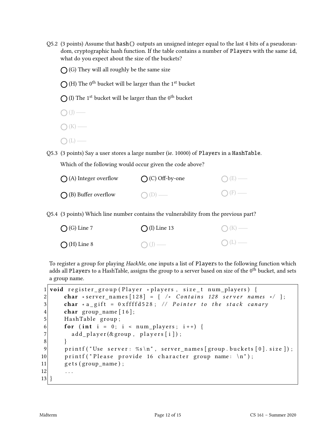Q5.2 (3 points) Assume that hash() outputs an unsigned integer equal to the last 4 bits of a pseudorandom, cryptographic hash function. If the table contains a number of Players with the same id, what do you expect about the size of the buckets?

 $\bigcap$  (G) They will all roughly be the same size

(H) The  $0^{\text{th}}$  bucket will be larger than the  $1^{\text{st}}$  bucket

(I) The  $1^{\text{st}}$  bucket will be larger than the  $0^{\text{th}}$  bucket

 $\bigcirc$  (J) —  $\bigcap (K)$  —  $\bigcap(L)$  —

Q5.3 (3 points) Say a user stores a large number (ie. 10000) of Players in a HashTable.

Which of the following would occur given the code above?

| $\bigcap$ (A) Integer overflow | $\bigcap$ (C) Off-by-one | $O(E)$ —        |
|--------------------------------|--------------------------|-----------------|
| $\bigcap$ (B) Buffer overflow  | $\bigcap$ (D) —          | $\bigcap$ (F) — |

Q5.4 (3 points) Which line number contains the vulnerability from the previous part?

| $\bigcirc$ (G) Line 7 | $\bigcap (I)$ Line 13 | $O(K)$ —     |
|-----------------------|-----------------------|--------------|
| $\bigcap$ (H) Line 8  | $\bigcirc$ (J) —      | $\bigcap(L)$ |

To register a group for playing HackMe, one inputs a list of Players to the following function which adds all Players to a HashTable, assigns the group to a server based on size of the 0<sup>th</sup> bucket, and sets a group name.

|                | 1 void register_group (Player * players, size_t num_players) {           |
|----------------|--------------------------------------------------------------------------|
| 2              | char *server_names $[128] = \{ / *$ Contains 128 server names */ $\};$   |
| 3              | char * a_gift = $0 \times f$ fffd528; // Pointer to the stack canary     |
| $\overline{4}$ | char group_name $[16]$ ;                                                 |
| $\overline{5}$ | HashTable group;                                                         |
| 6              | for (int i = 0; i < $num_{\text{players}}$ ; i++) {                      |
| $\overline{7}$ | $add_{p}layer(\&$ group, players[i]);                                    |
| 8              |                                                                          |
| 9              | printf ("Use server: %s\n", server_names [group. buckets $[0]$ . size]); |
| 10             | printf ("Please provide 16 character group name: $\ln$ ");               |
| 11             | $gets (group_name);$                                                     |
| 12             | $\cdots$                                                                 |
| 13             |                                                                          |
|                |                                                                          |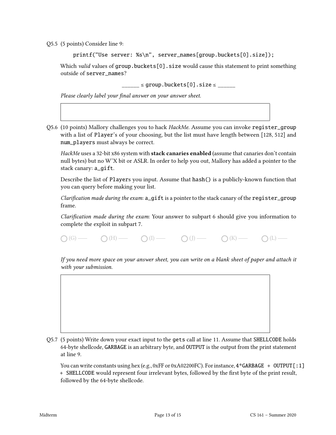Q5.5 (5 points) Consider line 9:

```
printf("Use server: %s\n", server_names[group.buckets[0].size]);
```
Which valid values of group.buckets[0].size would cause this statement to print something outside of server\_names?

 $\frac{1}{2}$  = group.buckets[0].size  $\leq$ 

Please clearly label your final answer on your answer sheet.

Q5.6 (10 points) Mallory challenges you to hack HackMe. Assume you can invoke register\_group with a list of Player's of your choosing, but the list must have length between [128, 512] and num\_players must always be correct.

HackMe uses a 32-bit x86 system with stack canaries enabled (assume that canaries don't contain null bytes) but no WˆX bit or ASLR. In order to help you out, Mallory has added a pointer to the stack canary: a\_gift.

Describe the list of Players you input. Assume that hash() is a publicly-known function that you can query before making your list.

Clarification made during the exam:  $a$  gift is a pointer to the stack canary of the register group frame.

Clarification made during the exam: Your answer to subpart 6 should give you information to complete the exploit in subpart 7.

 $\bigcap(G)$  (H)  $\bigcap(H)$  (I)  $\bigcap(H)$  (J)  $\bigcap(H)$  (I)  $\bigcap(H)$  (L)  $\bigcap(H)$ 

If you need more space on your answer sheet, you can write on a blank sheet of paper and attach it with your submission.



Q5.7 (5 points) Write down your exact input to the gets call at line 11. Assume that SHELLCODE holds 64-byte shellcode, GARBAGE is an arbitrary byte, and OUTPUT is the output from the print statement at line 9.

You can write constants using hex (e.g., 0xFF or 0xA02200FC). For instance,  $4*GARBAGE + OUTPUT[:1]$ + SHELLCODE would represent four irrelevant bytes, followed by the first byte of the print result, followed by the 64-byte shellcode.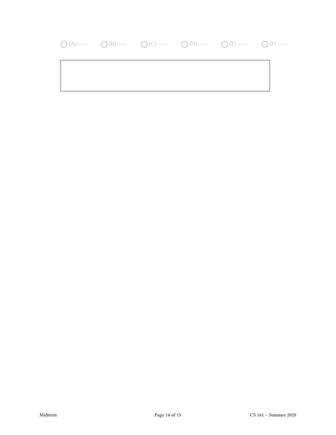## $\bigcirc (A) \longrightarrow \bigcirc (B) \longrightarrow \bigcirc (C) \longrightarrow \bigcirc (D) \longrightarrow \bigcirc (E) \longrightarrow \bigcirc (F) \longrightarrow$